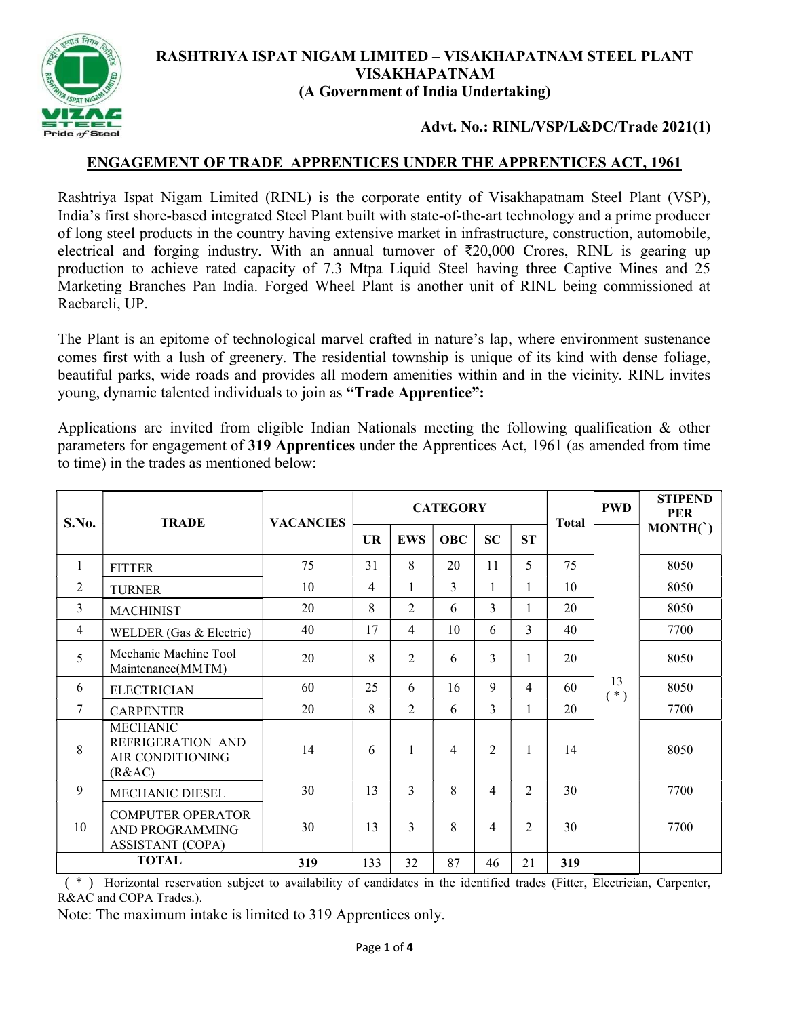

## RASHTRIYA ISPAT NIGAM LIMITED – VISAKHAPATNAM STEEL PLANT VISAKHAPATNAM (A Government of India Undertaking)

## Advt. No.: RINL/VSP/L&DC/Trade 2021(1)

## ENGAGEMENT OF TRADE APPRENTICES UNDER THE APPRENTICES ACT, 1961

Rashtriya Ispat Nigam Limited (RINL) is the corporate entity of Visakhapatnam Steel Plant (VSP), India's first shore-based integrated Steel Plant built with state-of-the-art technology and a prime producer of long steel products in the country having extensive market in infrastructure, construction, automobile, electrical and forging industry. With an annual turnover of  $\text{\textdegree{20,000}}$  Crores, RINL is gearing up production to achieve rated capacity of 7.3 Mtpa Liquid Steel having three Captive Mines and 25 Marketing Branches Pan India. Forged Wheel Plant is another unit of RINL being commissioned at Raebareli, UP.

The Plant is an epitome of technological marvel crafted in nature's lap, where environment sustenance comes first with a lush of greenery. The residential township is unique of its kind with dense foliage, beautiful parks, wide roads and provides all modern amenities within and in the vicinity. RINL invites young, dynamic talented individuals to join as "Trade Apprentice":

Applications are invited from eligible Indian Nationals meeting the following qualification & other parameters for engagement of 319 Apprentices under the Apprentices Act, 1961 (as amended from time to time) in the trades as mentioned below:

| S.No.        | <b>TRADE</b>                                                           | <b>VACANCIES</b> | <b>CATEGORY</b> |                |            |                |                | <b>Total</b> | <b>PWD</b>  | <b>STIPEND</b><br><b>PER</b> |
|--------------|------------------------------------------------------------------------|------------------|-----------------|----------------|------------|----------------|----------------|--------------|-------------|------------------------------|
|              |                                                                        |                  | <b>UR</b>       | <b>EWS</b>     | <b>OBC</b> | <b>SC</b>      | <b>ST</b>      |              |             | MONTH(                       |
| 1            | <b>FITTER</b>                                                          | 75               | 31              | 8              | 20         | 11             | 5              | 75           |             | 8050                         |
| 2            | <b>TURNER</b>                                                          | 10               | $\overline{4}$  | 1              | 3          | 1              | 1              | 10           |             | 8050                         |
| 3            | <b>MACHINIST</b>                                                       | 20               | 8               | $\overline{2}$ | 6          | 3              |                | 20           |             | 8050                         |
| 4            | WELDER (Gas & Electric)                                                | 40               | 17              | $\overline{4}$ | 10         | 6              | 3              | 40           |             | 7700                         |
| 5            | Mechanic Machine Tool<br>Maintenance(MMTM)                             | 20               | 8               | $\overline{2}$ | 6          | 3              |                | 20           |             | 8050                         |
| 6            | <b>ELECTRICIAN</b>                                                     | 60               | 25              | 6              | 16         | 9              | 4              | 60           | 13<br>$(*)$ | 8050                         |
| 7            | <b>CARPENTER</b>                                                       | 20               | 8               | $\overline{2}$ | 6          | 3              |                | 20           |             | 7700                         |
| 8            | <b>MECHANIC</b><br>REFRIGERATION AND<br>AIR CONDITIONING<br>(R&AC)     | 14               | 6               | $\mathbf{1}$   | 4          | $\overline{2}$ | 1              | 14           |             | 8050                         |
| 9            | MECHANIC DIESEL                                                        | 30               | 13              | 3              | 8          | $\overline{4}$ | $\overline{2}$ | 30           |             | 7700                         |
| 10           | <b>COMPUTER OPERATOR</b><br>AND PROGRAMMING<br><b>ASSISTANT (COPA)</b> | 30               | 13              | 3              | 8          | 4              | $\mathfrak{D}$ | 30           |             | 7700                         |
| <b>TOTAL</b> |                                                                        | 319              | 133             | 32             | 87         | 46             | 21             | 319          |             |                              |

 ( \* ) Horizontal reservation subject to availability of candidates in the identified trades (Fitter, Electrician, Carpenter, R&AC and COPA Trades.).

Note: The maximum intake is limited to 319 Apprentices only.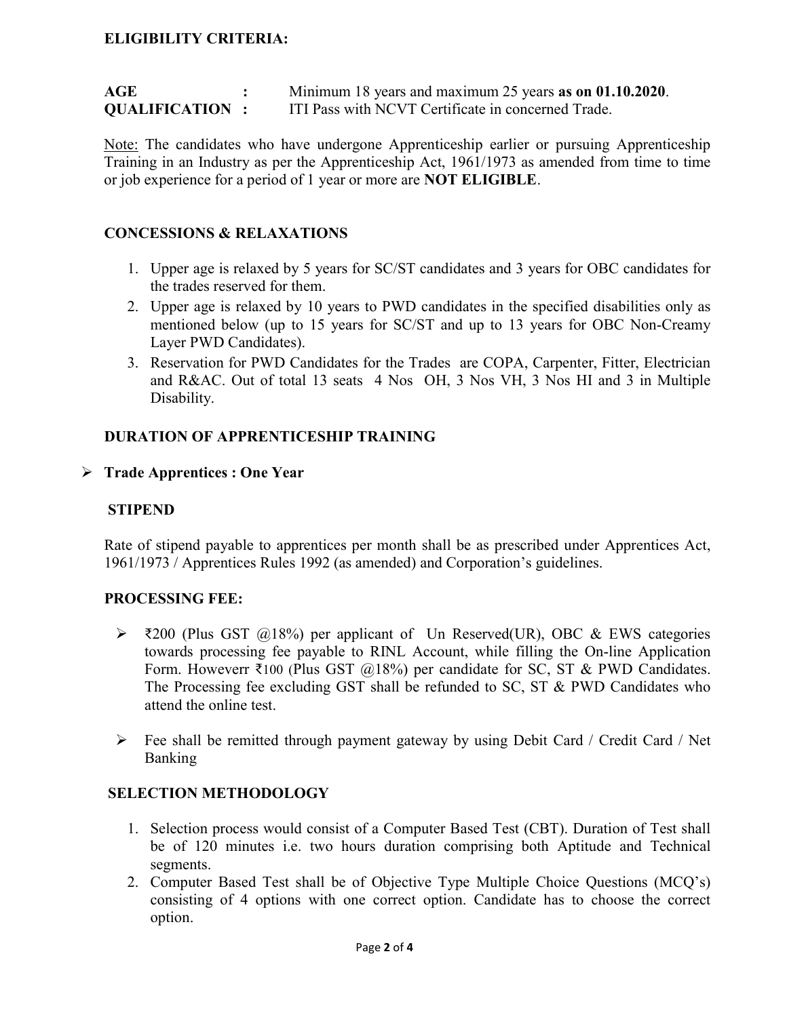# ELIGIBILITY CRITERIA:

| AGE                   | Minimum 18 years and maximum 25 years as on 01.10.2020. |
|-----------------------|---------------------------------------------------------|
| <b>QUALIFICATION:</b> | ITI Pass with NCVT Certificate in concerned Trade.      |

Note: The candidates who have undergone Apprenticeship earlier or pursuing Apprenticeship Training in an Industry as per the Apprenticeship Act, 1961/1973 as amended from time to time or job experience for a period of 1 year or more are NOT ELIGIBLE.

## CONCESSIONS & RELAXATIONS

- 1. Upper age is relaxed by 5 years for SC/ST candidates and 3 years for OBC candidates for the trades reserved for them.
- 2. Upper age is relaxed by 10 years to PWD candidates in the specified disabilities only as mentioned below (up to 15 years for SC/ST and up to 13 years for OBC Non-Creamy Layer PWD Candidates).
- 3. Reservation for PWD Candidates for the Trades are COPA, Carpenter, Fitter, Electrician and R&AC. Out of total 13 seats 4 Nos OH, 3 Nos VH, 3 Nos HI and 3 in Multiple Disability.

#### DURATION OF APPRENTICESHIP TRAINING

#### $\triangleright$  Trade Apprentices : One Year

#### **STIPEND**

 Rate of stipend payable to apprentices per month shall be as prescribed under Apprentices Act, 1961/1973 / Apprentices Rules 1992 (as amended) and Corporation's guidelines.

#### PROCESSING FEE:

- $\triangleright$  ₹200 (Plus GST @18%) per applicant of Un Reserved(UR), OBC & EWS categories towards processing fee payable to RINL Account, while filling the On-line Application Form. Howeverr ₹100 (Plus GST @18%) per candidate for SC, ST & PWD Candidates. The Processing fee excluding GST shall be refunded to SC, ST & PWD Candidates who attend the online test.
- Fee shall be remitted through payment gateway by using Debit Card / Credit Card / Net Banking

## SELECTION METHODOLOGY

- 1. Selection process would consist of a Computer Based Test (CBT). Duration of Test shall be of 120 minutes i.e. two hours duration comprising both Aptitude and Technical segments.
- 2. Computer Based Test shall be of Objective Type Multiple Choice Questions (MCQ's) consisting of 4 options with one correct option. Candidate has to choose the correct option.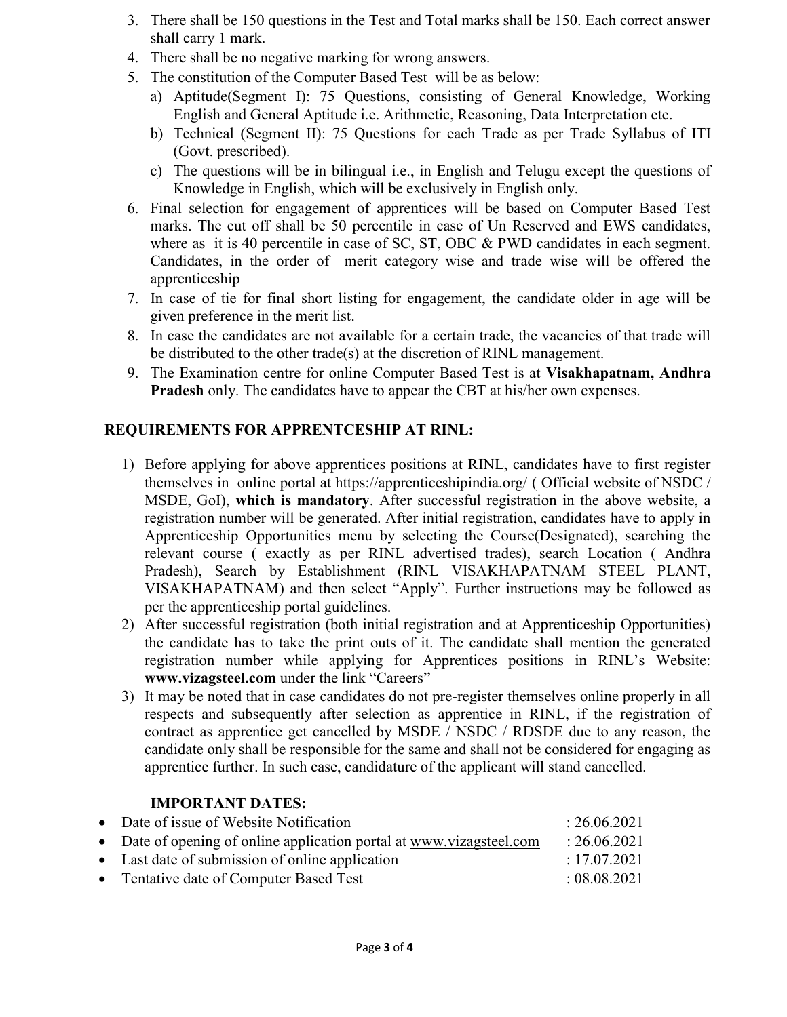- 3. There shall be 150 questions in the Test and Total marks shall be 150. Each correct answer shall carry 1 mark.
- 4. There shall be no negative marking for wrong answers.
- 5. The constitution of the Computer Based Test will be as below:
	- a) Aptitude(Segment I): 75 Questions, consisting of General Knowledge, Working English and General Aptitude i.e. Arithmetic, Reasoning, Data Interpretation etc.
	- b) Technical (Segment II): 75 Questions for each Trade as per Trade Syllabus of ITI (Govt. prescribed).
	- c) The questions will be in bilingual i.e., in English and Telugu except the questions of Knowledge in English, which will be exclusively in English only.
- 6. Final selection for engagement of apprentices will be based on Computer Based Test marks. The cut off shall be 50 percentile in case of Un Reserved and EWS candidates, where as it is 40 percentile in case of SC, ST, OBC & PWD candidates in each segment. Candidates, in the order of merit category wise and trade wise will be offered the apprenticeship
- 7. In case of tie for final short listing for engagement, the candidate older in age will be given preference in the merit list.
- 8. In case the candidates are not available for a certain trade, the vacancies of that trade will be distributed to the other trade(s) at the discretion of RINL management.
- 9. The Examination centre for online Computer Based Test is at Visakhapatnam, Andhra Pradesh only. The candidates have to appear the CBT at his/her own expenses.

# REQUIREMENTS FOR APPRENTCESHIP AT RINL:

- 1) Before applying for above apprentices positions at RINL, candidates have to first register themselves in online portal at https://apprenticeshipindia.org/ ( Official website of NSDC / MSDE, GoI), which is mandatory. After successful registration in the above website, a registration number will be generated. After initial registration, candidates have to apply in Apprenticeship Opportunities menu by selecting the Course(Designated), searching the relevant course ( exactly as per RINL advertised trades), search Location ( Andhra Pradesh), Search by Establishment (RINL VISAKHAPATNAM STEEL PLANT, VISAKHAPATNAM) and then select "Apply". Further instructions may be followed as per the apprenticeship portal guidelines.
- 2) After successful registration (both initial registration and at Apprenticeship Opportunities) the candidate has to take the print outs of it. The candidate shall mention the generated registration number while applying for Apprentices positions in RINL's Website: www.vizagsteel.com under the link "Careers"
- 3) It may be noted that in case candidates do not pre-register themselves online properly in all respects and subsequently after selection as apprentice in RINL, if the registration of contract as apprentice get cancelled by MSDE / NSDC / RDSDE due to any reason, the candidate only shall be responsible for the same and shall not be considered for engaging as apprentice further. In such case, candidature of the applicant will stand cancelled.

## IMPORTANT DATES:

| • Date of issue of Website Notification                              | : 26.06.2021 |
|----------------------------------------------------------------------|--------------|
| • Date of opening of online application portal at www.vizagsteel.com | : 26.06.2021 |
| • Last date of submission of online application                      | : 17.07.2021 |
| • Tentative date of Computer Based Test                              | : 08.08.2021 |